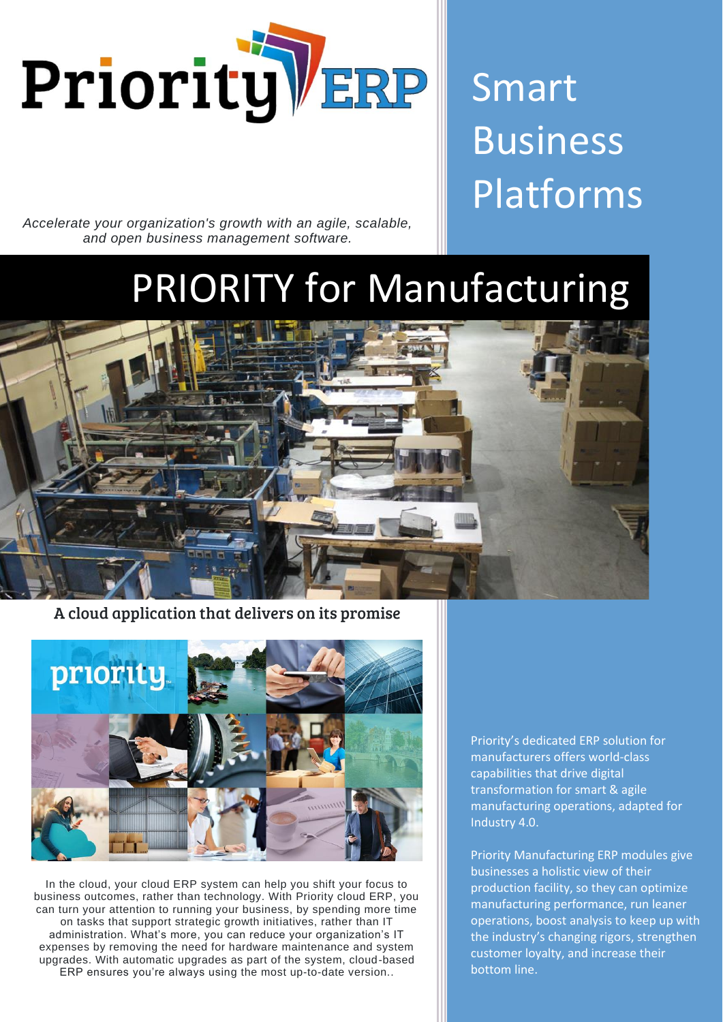

Smart Business Platforms

*Accelerate your organization's growth with an agile, scalable, and open business management software.*

# PRIORITY for Manufacturing



A cloud application that delivers on its promise



In the cloud, your cloud ERP system can help you shift your focus to business outcomes, rather than technology. With Priority cloud ERP, you can turn your attention to running your business, by spending more time on tasks that support strategic growth initiatives, rather than IT administration. What's more, you can reduce your organization's IT expenses by removing the need for hardware maintenance and system upgrades. With automatic upgrades as part of the system, cloud-based ERP ensures you're always using the most up-to-date version..

Priority's dedicated ERP solution for manufacturers offers world-class capabilities that drive digital transformation for smart & agile manufacturing operations, adapted for Industry 4.0.

Priority Manufacturing ERP modules give businesses a holistic view of their production facility, so they can optimize manufacturing performance, run leaner operations, boost analysis to keep up with the industry's changing rigors, strengthen customer loyalty, and increase their bottom line.